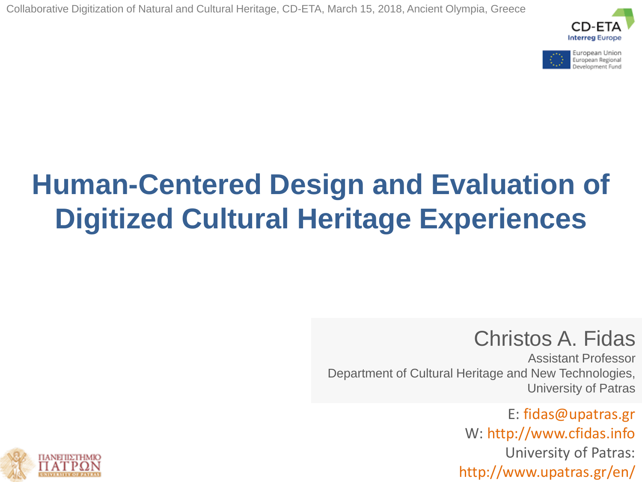



# **Human-Centered Design and Evaluation of Digitized Cultural Heritage Experiences**

## Christos A. Fidas

Assistant Professor Department of Cultural Heritage and New Technologies, University of Patras

> E: fidas@upatras.gr W: http://www.cfidas.info University of Patras: http://www.upatras.gr/en/

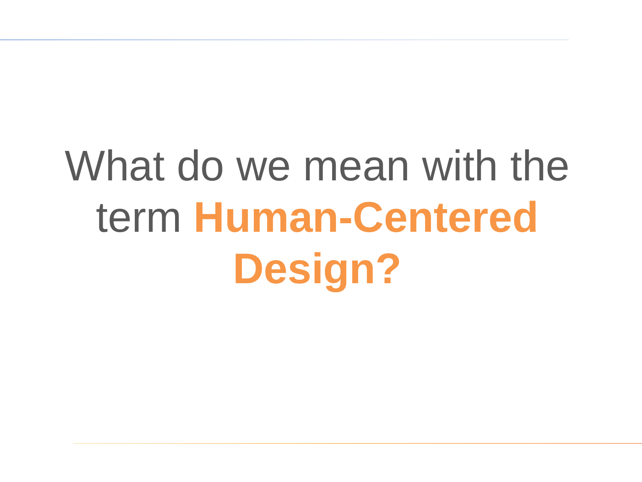# What do we mean with the term **Human-Centered Design?**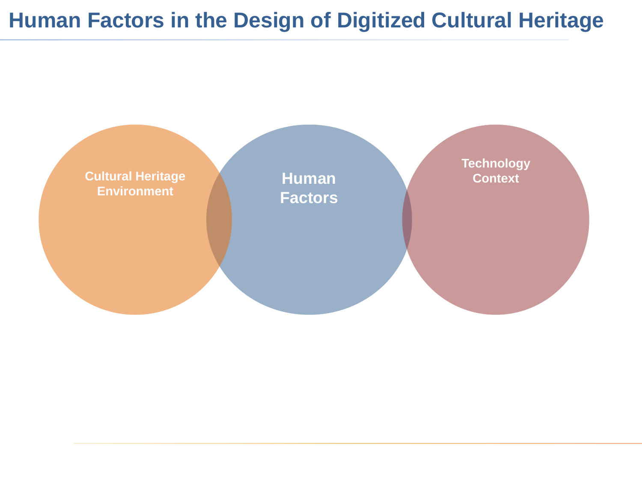## **Human Factors in the Design of Digitized Cultural Heritage**

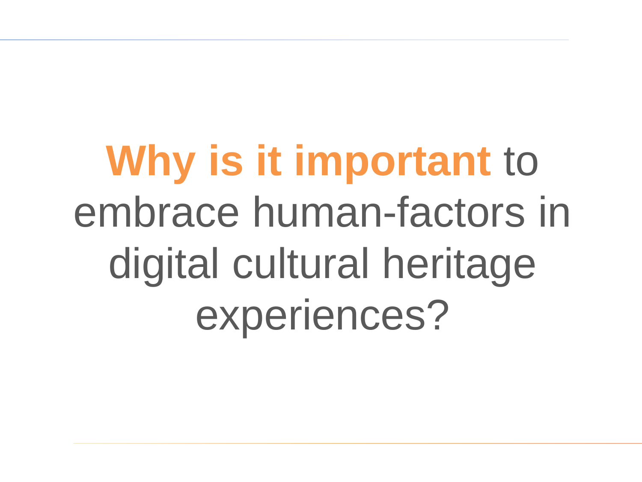**Why is it important** to embrace human-factors in digital cultural heritage experiences?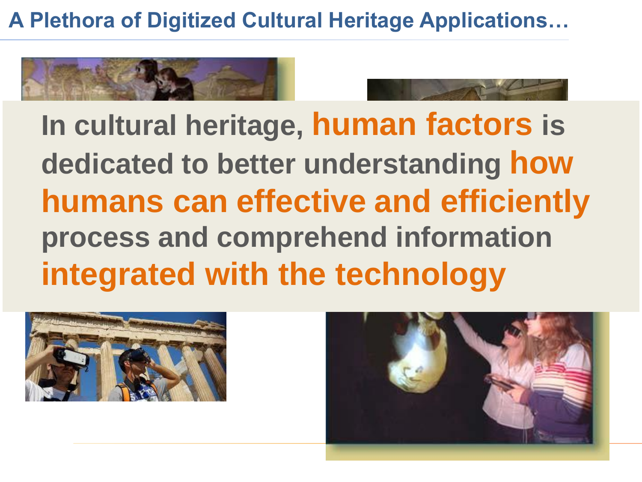**A Plethora of Digitized Cultural Heritage Applications…**





**In cultural heritage, human factors is dedicated to better understanding how humans can effective and efficiently process and comprehend information integrated with the technology**



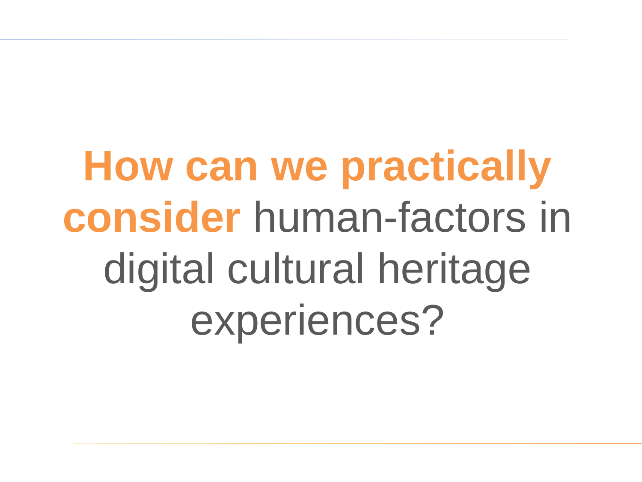**How can we practically consider** human-factors in digital cultural heritage experiences?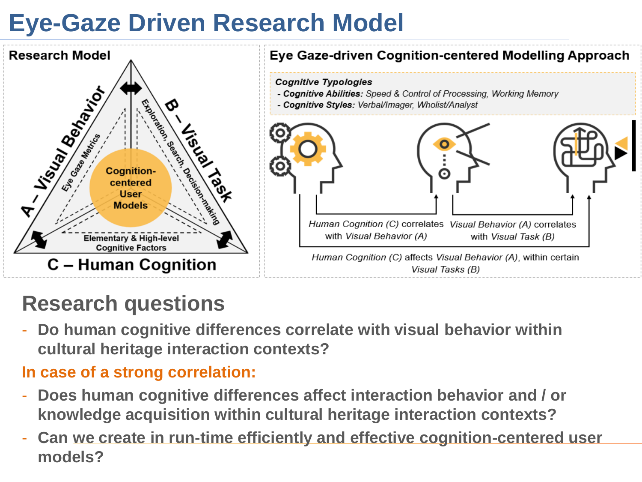# **Eye-Gaze Driven Research Model**



# **Research questions**

- **Do human cognitive differences correlate with visual behavior within cultural heritage interaction contexts?**

#### **In case of a strong correlation:**

- **Does human cognitive differences affect interaction behavior and / or knowledge acquisition within cultural heritage interaction contexts?**
- **Can we create in run-time efficiently and effective cognition-centered user models?**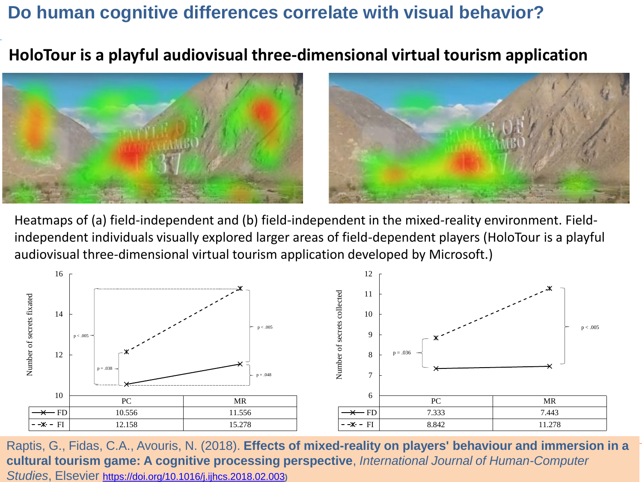#### **Do human cognitive differences correlate with visual behavior?**

**HoloTour is a playful audiovisual three-dimensional virtual tourism application**





Heatmaps of (a) field-independent and (b) field-independent in the mixed-reality environment. Fieldindependent individuals visually explored larger areas of field-dependent players (HoloTour is a playful audiovisual three-dimensional virtual tourism application developed by Microsoft.)



Raptis, G., Fidas, C.A., Avouris, N. (2018). **Effects of mixed-reality on players' behaviour and immersion in a cultural tourism game: A cognitive processing perspective**, *International Journal of Human-Computer Studies*, Elsevier <https://doi.org/10.1016/j.ijhcs.2018.02.003>**)**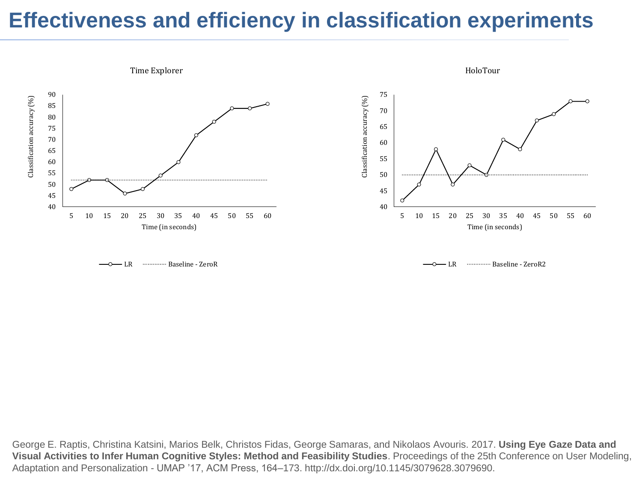## **Effectiveness and efficiency in classification experiments**



George E. Raptis, Christina Katsini, Marios Belk, Christos Fidas, George Samaras, and Nikolaos Avouris. 2017. **Using Eye Gaze Data and Visual Activities to Infer Human Cognitive Styles: Method and Feasibility Studies**. Proceedings of the 25th Conference on User Modeling, Adaptation and Personalization - UMAP '17, ACM Press, 164–173. http://dx.doi.org/10.1145/3079628.3079690.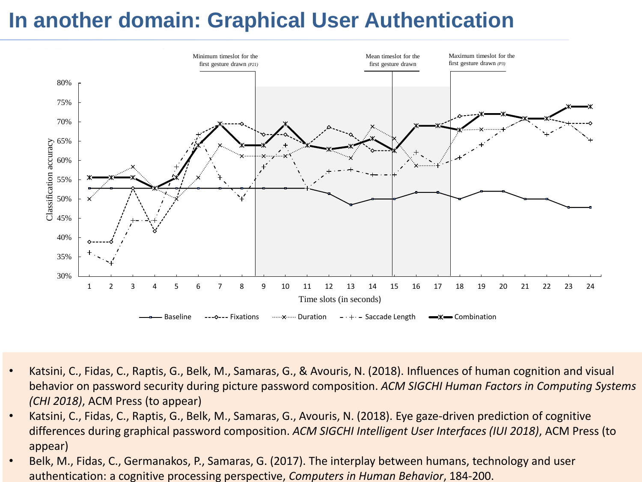### **In another domain: Graphical User Authentication**



- Katsini, C., Fidas, C., Raptis, G., Belk, M., Samaras, G., & Avouris, N. (2018). Influences of human cognition and visual behavior on password security during picture password composition. *ACM SIGCHI Human Factors in Computing Systems (CHI 2018)*, ACM Press (to appear)
- Katsini, C., Fidas, C., Raptis, G., Belk, M., Samaras, G., Avouris, N. (2018). Eye gaze-driven prediction of cognitive differences during graphical password composition. *ACM SIGCHI Intelligent User Interfaces (IUI 2018)*, ACM Press (to appear)
- Belk, M., Fidas, C., Germanakos, P., Samaras, G. (2017). The interplay between humans, technology and user authentication: a cognitive processing perspective, *Computers in Human Behavior*, 184-200.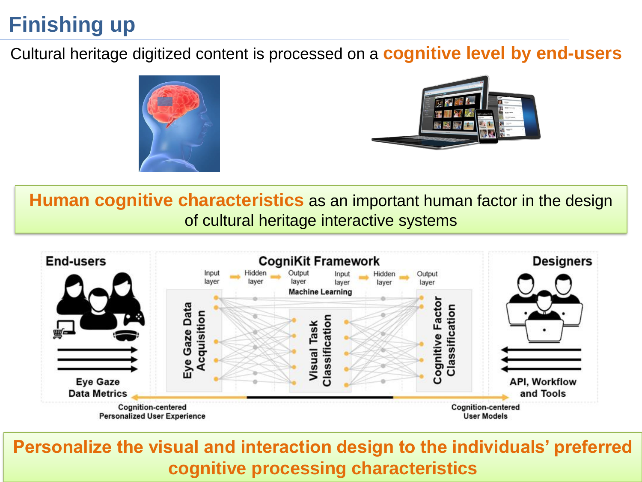# **Finishing up**

Cultural heritage digitized content is processed on a **cognitive level by end-users**





**Human cognitive characteristics** as an important human factor in the design of cultural heritage interactive systems



**Personalize the visual and interaction design to the individuals' preferred cognitive processing characteristics**